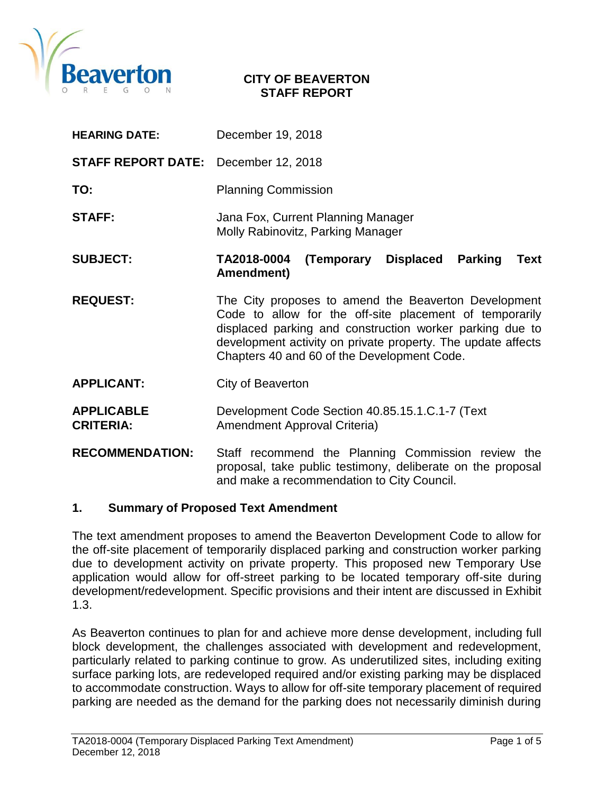

### **CITY OF BEAVERTON STAFF REPORT**

| <b>HEARING DATE:</b>                        | December 19, 2018                                                                                                                                                                                                                                                                          |  |  |
|---------------------------------------------|--------------------------------------------------------------------------------------------------------------------------------------------------------------------------------------------------------------------------------------------------------------------------------------------|--|--|
| <b>STAFF REPORT DATE:</b> December 12, 2018 |                                                                                                                                                                                                                                                                                            |  |  |
| TO:                                         | <b>Planning Commission</b>                                                                                                                                                                                                                                                                 |  |  |
| <b>STAFF:</b>                               | Jana Fox, Current Planning Manager<br>Molly Rabinovitz, Parking Manager                                                                                                                                                                                                                    |  |  |
| <b>SUBJECT:</b>                             | TA2018-0004<br>(Temporary<br><b>Displaced</b><br><b>Parking</b><br>Text<br>Amendment)                                                                                                                                                                                                      |  |  |
| <b>REQUEST:</b>                             | The City proposes to amend the Beaverton Development<br>Code to allow for the off-site placement of temporarily<br>displaced parking and construction worker parking due to<br>development activity on private property. The update affects<br>Chapters 40 and 60 of the Development Code. |  |  |
| <b>APPLICANT:</b>                           | City of Beaverton                                                                                                                                                                                                                                                                          |  |  |
| <b>APPLICABLE</b><br><b>CRITERIA:</b>       | Development Code Section 40.85.15.1.C.1-7 (Text<br>Amendment Approval Criteria)                                                                                                                                                                                                            |  |  |
| <b>RECOMMENDATION:</b>                      | Staff recommend the Planning Commission review the<br>proposal, take public testimony, deliberate on the proposal<br>and make a recommendation to City Council.                                                                                                                            |  |  |

### **1. Summary of Proposed Text Amendment**

The text amendment proposes to amend the Beaverton Development Code to allow for the off-site placement of temporarily displaced parking and construction worker parking due to development activity on private property. This proposed new Temporary Use application would allow for off-street parking to be located temporary off-site during development/redevelopment. Specific provisions and their intent are discussed in Exhibit 1.3.

As Beaverton continues to plan for and achieve more dense development, including full block development, the challenges associated with development and redevelopment, particularly related to parking continue to grow. As underutilized sites, including exiting surface parking lots, are redeveloped required and/or existing parking may be displaced to accommodate construction. Ways to allow for off-site temporary placement of required parking are needed as the demand for the parking does not necessarily diminish during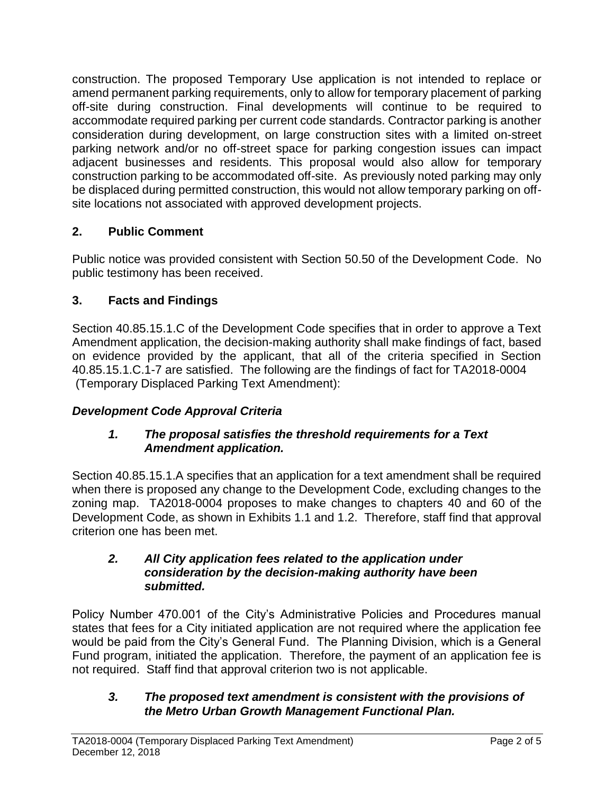construction. The proposed Temporary Use application is not intended to replace or amend permanent parking requirements, only to allow for temporary placement of parking off-site during construction. Final developments will continue to be required to accommodate required parking per current code standards. Contractor parking is another consideration during development, on large construction sites with a limited on-street parking network and/or no off-street space for parking congestion issues can impact adjacent businesses and residents. This proposal would also allow for temporary construction parking to be accommodated off-site. As previously noted parking may only be displaced during permitted construction, this would not allow temporary parking on offsite locations not associated with approved development projects.

# **2. Public Comment**

Public notice was provided consistent with Section 50.50 of the Development Code. No public testimony has been received.

# **3. Facts and Findings**

Section 40.85.15.1.C of the Development Code specifies that in order to approve a Text Amendment application, the decision-making authority shall make findings of fact, based on evidence provided by the applicant, that all of the criteria specified in Section 40.85.15.1.C.1-7 are satisfied. The following are the findings of fact for TA2018-0004 (Temporary Displaced Parking Text Amendment):

# *Development Code Approval Criteria*

# *1. The proposal satisfies the threshold requirements for a Text Amendment application.*

Section 40.85.15.1.A specifies that an application for a text amendment shall be required when there is proposed any change to the Development Code, excluding changes to the zoning map. TA2018-0004 proposes to make changes to chapters 40 and 60 of the Development Code, as shown in Exhibits 1.1 and 1.2. Therefore, staff find that approval criterion one has been met.

# *2. All City application fees related to the application under consideration by the decision-making authority have been submitted.*

Policy Number 470.001 of the City's Administrative Policies and Procedures manual states that fees for a City initiated application are not required where the application fee would be paid from the City's General Fund. The Planning Division, which is a General Fund program, initiated the application. Therefore, the payment of an application fee is not required. Staff find that approval criterion two is not applicable.

## *3. The proposed text amendment is consistent with the provisions of the Metro Urban Growth Management Functional Plan.*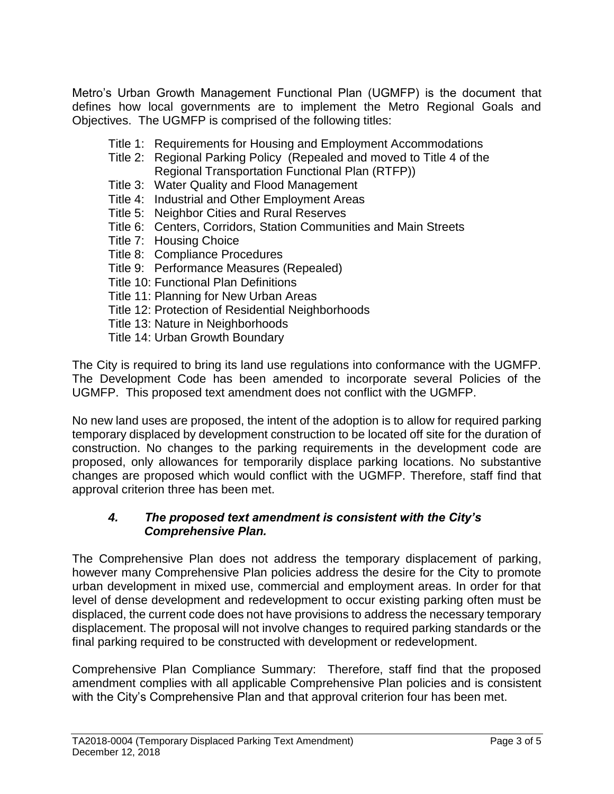Metro's Urban Growth Management Functional Plan (UGMFP) is the document that defines how local governments are to implement the Metro Regional Goals and Objectives. The UGMFP is comprised of the following titles:

- Title 1: Requirements for Housing and Employment Accommodations
- Title 2: Regional Parking Policy (Repealed and moved to Title 4 of the Regional Transportation Functional Plan (RTFP))
- Title 3: Water Quality and Flood Management
- Title 4: Industrial and Other Employment Areas
- Title 5: Neighbor Cities and Rural Reserves
- Title 6: Centers, Corridors, Station Communities and Main Streets
- Title 7: Housing Choice
- Title 8: Compliance Procedures
- Title 9: Performance Measures (Repealed)
- Title 10: Functional Plan Definitions
- Title 11: Planning for New Urban Areas
- Title 12: Protection of Residential Neighborhoods
- Title 13: Nature in Neighborhoods
- Title 14: Urban Growth Boundary

The City is required to bring its land use regulations into conformance with the UGMFP. The Development Code has been amended to incorporate several Policies of the UGMFP. This proposed text amendment does not conflict with the UGMFP.

No new land uses are proposed, the intent of the adoption is to allow for required parking temporary displaced by development construction to be located off site for the duration of construction. No changes to the parking requirements in the development code are proposed, only allowances for temporarily displace parking locations. No substantive changes are proposed which would conflict with the UGMFP. Therefore, staff find that approval criterion three has been met.

## *4. The proposed text amendment is consistent with the City's Comprehensive Plan.*

The Comprehensive Plan does not address the temporary displacement of parking, however many Comprehensive Plan policies address the desire for the City to promote urban development in mixed use, commercial and employment areas. In order for that level of dense development and redevelopment to occur existing parking often must be displaced, the current code does not have provisions to address the necessary temporary displacement. The proposal will not involve changes to required parking standards or the final parking required to be constructed with development or redevelopment.

Comprehensive Plan Compliance Summary: Therefore, staff find that the proposed amendment complies with all applicable Comprehensive Plan policies and is consistent with the City's Comprehensive Plan and that approval criterion four has been met.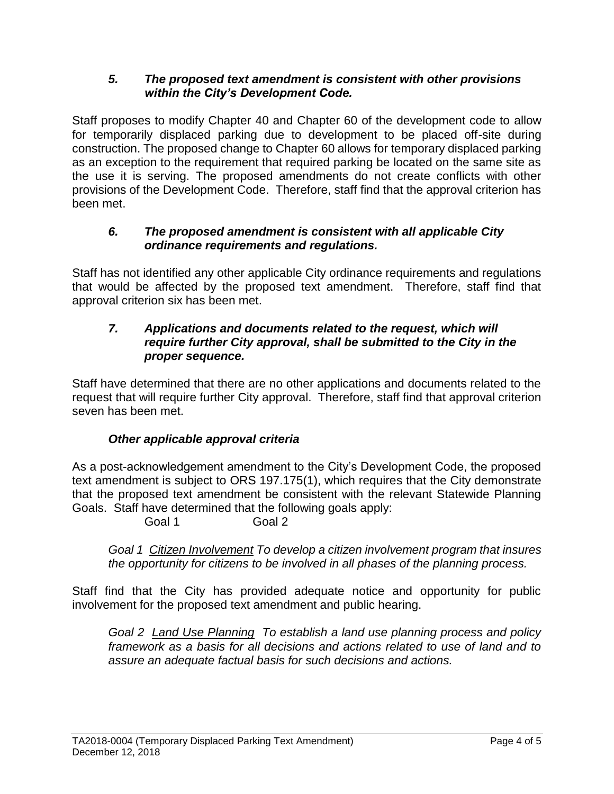## *5. The proposed text amendment is consistent with other provisions within the City's Development Code.*

Staff proposes to modify Chapter 40 and Chapter 60 of the development code to allow for temporarily displaced parking due to development to be placed off-site during construction. The proposed change to Chapter 60 allows for temporary displaced parking as an exception to the requirement that required parking be located on the same site as the use it is serving. The proposed amendments do not create conflicts with other provisions of the Development Code. Therefore, staff find that the approval criterion has been met.

# *6. The proposed amendment is consistent with all applicable City ordinance requirements and regulations.*

Staff has not identified any other applicable City ordinance requirements and regulations that would be affected by the proposed text amendment. Therefore, staff find that approval criterion six has been met.

# *7. Applications and documents related to the request, which will require further City approval, shall be submitted to the City in the proper sequence.*

Staff have determined that there are no other applications and documents related to the request that will require further City approval. Therefore, staff find that approval criterion seven has been met.

# *Other applicable approval criteria*

As a post-acknowledgement amendment to the City's Development Code, the proposed text amendment is subject to ORS 197.175(1), which requires that the City demonstrate that the proposed text amendment be consistent with the relevant Statewide Planning Goals. Staff have determined that the following goals apply:

Goal 1 Goal 2

*Goal 1 Citizen Involvement To develop a citizen involvement program that insures the opportunity for citizens to be involved in all phases of the planning process.*

Staff find that the City has provided adequate notice and opportunity for public involvement for the proposed text amendment and public hearing.

*Goal 2 Land Use Planning To establish a land use planning process and policy framework as a basis for all decisions and actions related to use of land and to assure an adequate factual basis for such decisions and actions.*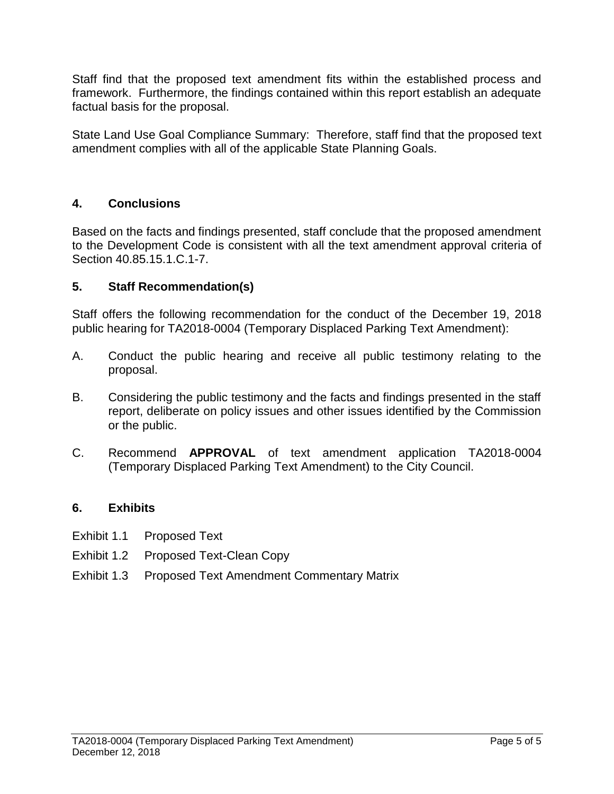Staff find that the proposed text amendment fits within the established process and framework. Furthermore, the findings contained within this report establish an adequate factual basis for the proposal.

State Land Use Goal Compliance Summary: Therefore, staff find that the proposed text amendment complies with all of the applicable State Planning Goals.

# **4. Conclusions**

Based on the facts and findings presented, staff conclude that the proposed amendment to the Development Code is consistent with all the text amendment approval criteria of Section 40.85.15.1.C.1-7.

# **5. Staff Recommendation(s)**

Staff offers the following recommendation for the conduct of the December 19, 2018 public hearing for TA2018-0004 (Temporary Displaced Parking Text Amendment):

- A. Conduct the public hearing and receive all public testimony relating to the proposal.
- B. Considering the public testimony and the facts and findings presented in the staff report, deliberate on policy issues and other issues identified by the Commission or the public.
- C. Recommend **APPROVAL** of text amendment application TA2018-0004 (Temporary Displaced Parking Text Amendment) to the City Council.

# **6. Exhibits**

- Exhibit 1.1 Proposed Text
- Exhibit 1.2 Proposed Text-Clean Copy
- Exhibit 1.3 Proposed Text Amendment Commentary Matrix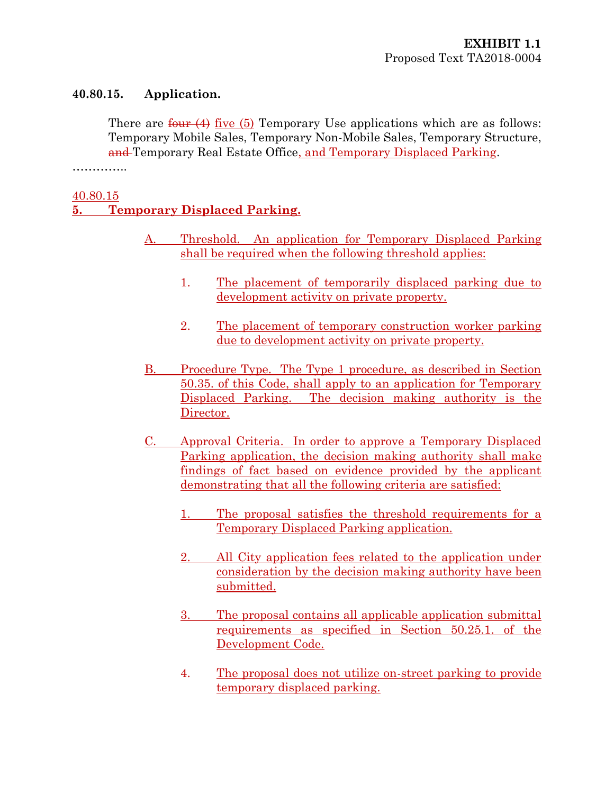### **40.80.15. Application.**

There are  $\frac{\text{four (4)}}{\text{five (5)}}$  Temporary Use applications which are as follows: Temporary Mobile Sales, Temporary Non-Mobile Sales, Temporary Structure, and Temporary Real Estate Office, and Temporary Displaced Parking.

……………

### 40.80.15

# **5. Temporary Displaced Parking.**

- A. Threshold. An application for Temporary Displaced Parking shall be required when the following threshold applies:
	- 1. The placement of temporarily displaced parking due to development activity on private property.
	- 2. The placement of temporary construction worker parking due to development activity on private property.
- B. Procedure Type. The Type 1 procedure, as described in Section 50.35. of this Code, shall apply to an application for Temporary Displaced Parking. The decision making authority is the Director.
- C. Approval Criteria. In order to approve a Temporary Displaced Parking application, the decision making authority shall make findings of fact based on evidence provided by the applicant demonstrating that all the following criteria are satisfied:
	- 1. The proposal satisfies the threshold requirements for a Temporary Displaced Parking application.
	- 2. All City application fees related to the application under consideration by the decision making authority have been submitted.
	- 3. The proposal contains all applicable application submittal requirements as specified in Section 50.25.1. of the Development Code.
	- 4. The proposal does not utilize on-street parking to provide temporary displaced parking.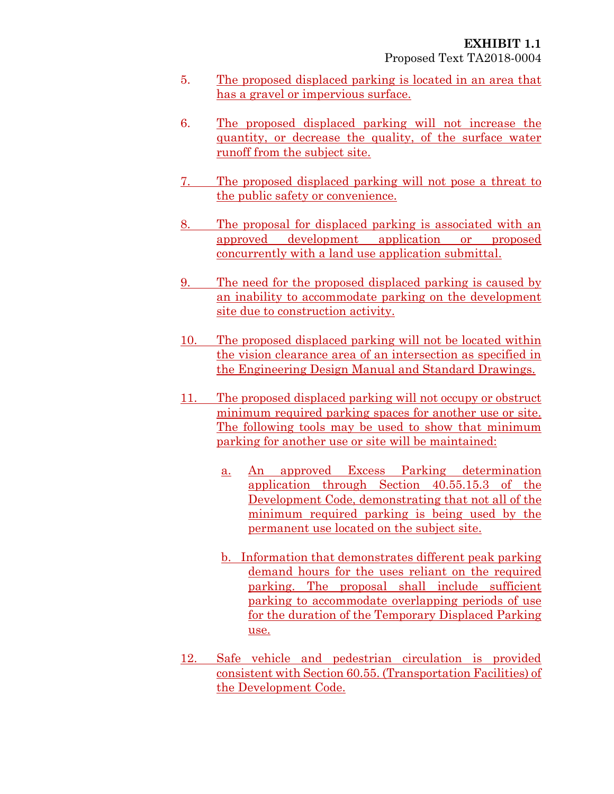- 5. The proposed displaced parking is located in an area that has a gravel or impervious surface.
- 6. The proposed displaced parking will not increase the quantity, or decrease the quality, of the surface water runoff from the subject site.
- 7. The proposed displaced parking will not pose a threat to the public safety or convenience.
- 8. The proposal for displaced parking is associated with an approved development application or proposed concurrently with a land use application submittal.
- 9. The need for the proposed displaced parking is caused by an inability to accommodate parking on the development site due to construction activity.
- 10. The proposed displaced parking will not be located within the vision clearance area of an intersection as specified in the Engineering Design Manual and Standard Drawings.
- 11. The proposed displaced parking will not occupy or obstruct minimum required parking spaces for another use or site. The following tools may be used to show that minimum parking for another use or site will be maintained:
	- a. An approved Excess Parking determination application through Section 40.55.15.3 of the Development Code, demonstrating that not all of the minimum required parking is being used by the permanent use located on the subject site.
	- b. Information that demonstrates different peak parking demand hours for the uses reliant on the required parking. The proposal shall include sufficient parking to accommodate overlapping periods of use for the duration of the Temporary Displaced Parking use.
- 12. Safe vehicle and pedestrian circulation is provided consistent with Section 60.55. (Transportation Facilities) of the Development Code.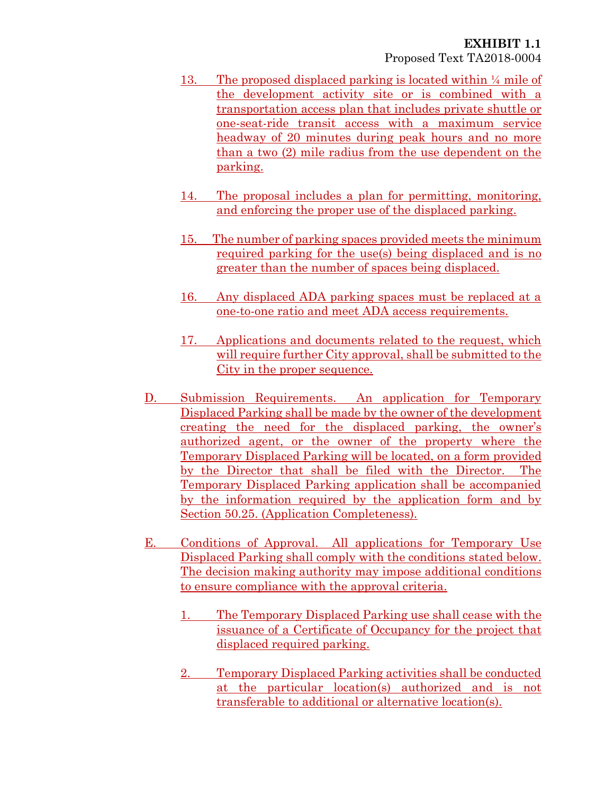- 13. The proposed displaced parking is located within ¼ mile of the development activity site or is combined with a transportation access plan that includes private shuttle or one-seat-ride transit access with a maximum service headway of 20 minutes during peak hours and no more than a two (2) mile radius from the use dependent on the parking.
- 14. The proposal includes a plan for permitting, monitoring, and enforcing the proper use of the displaced parking.
- 15. The number of parking spaces provided meets the minimum required parking for the use(s) being displaced and is no greater than the number of spaces being displaced.
- 16. Any displaced ADA parking spaces must be replaced at a one-to-one ratio and meet ADA access requirements.
- 17. Applications and documents related to the request, which will require further City approval, shall be submitted to the City in the proper sequence.
- D. Submission Requirements. An application for Temporary Displaced Parking shall be made by the owner of the development creating the need for the displaced parking, the owner's authorized agent, or the owner of the property where the Temporary Displaced Parking will be located, on a form provided by the Director that shall be filed with the Director. The Temporary Displaced Parking application shall be accompanied by the information required by the application form and by Section 50.25. (Application Completeness).
- E. Conditions of Approval. All applications for Temporary Use Displaced Parking shall comply with the conditions stated below. The decision making authority may impose additional conditions to ensure compliance with the approval criteria.
	- 1. The Temporary Displaced Parking use shall cease with the issuance of a Certificate of Occupancy for the project that displaced required parking.
	- 2. Temporary Displaced Parking activities shall be conducted at the particular location(s) authorized and is not transferable to additional or alternative location(s).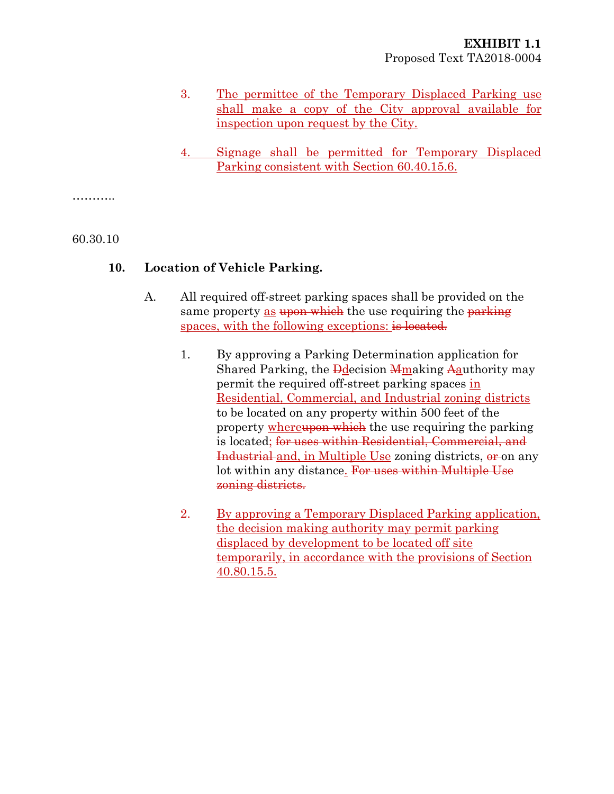- 3. The permittee of the Temporary Displaced Parking use shall make a copy of the City approval available for inspection upon request by the City.
- 4. Signage shall be permitted for Temporary Displaced Parking consistent with Section 60.40.15.6.

………..

#### 60.30.10

#### **10. Location of Vehicle Parking.**

- A. All required off-street parking spaces shall be provided on the same property as upon which the use requiring the parking spaces, with the following exceptions: is located.
	- 1. By approving a Parking Determination application for Shared Parking, the <del>D</del>decision Memaking Aauthority may permit the required off-street parking spaces in Residential, Commercial, and Industrial zoning districts to be located on any property within 500 feet of the property whereupon which the use requiring the parking is located; for uses within Residential, Commercial, and Industrial and, in Multiple Use zoning districts,  $\theta$  on any lot within any distance. For uses within Multiple Use zoning districts.
	- 2. By approving a Temporary Displaced Parking application, the decision making authority may permit parking displaced by development to be located off site temporarily, in accordance with the provisions of Section 40.80.15.5.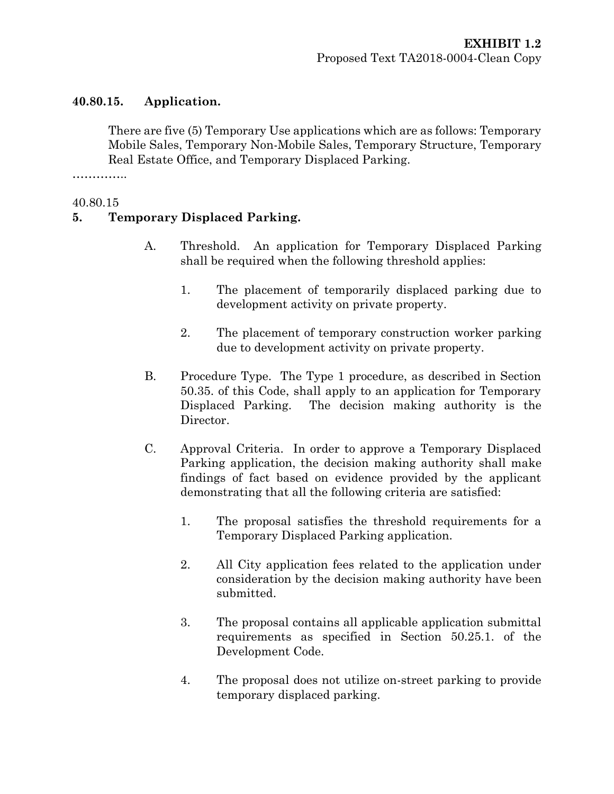## **40.80.15. Application.**

There are five (5) Temporary Use applications which are as follows: Temporary Mobile Sales, Temporary Non-Mobile Sales, Temporary Structure, Temporary Real Estate Office, and Temporary Displaced Parking.

……………

#### 40.80.15

## **5. Temporary Displaced Parking.**

- A. Threshold. An application for Temporary Displaced Parking shall be required when the following threshold applies:
	- 1. The placement of temporarily displaced parking due to development activity on private property.
	- 2. The placement of temporary construction worker parking due to development activity on private property.
- B. Procedure Type. The Type 1 procedure, as described in Section 50.35. of this Code, shall apply to an application for Temporary Displaced Parking. The decision making authority is the Director.
- C. Approval Criteria. In order to approve a Temporary Displaced Parking application, the decision making authority shall make findings of fact based on evidence provided by the applicant demonstrating that all the following criteria are satisfied:
	- 1. The proposal satisfies the threshold requirements for a Temporary Displaced Parking application.
	- 2. All City application fees related to the application under consideration by the decision making authority have been submitted.
	- 3. The proposal contains all applicable application submittal requirements as specified in Section 50.25.1. of the Development Code.
	- 4. The proposal does not utilize on-street parking to provide temporary displaced parking.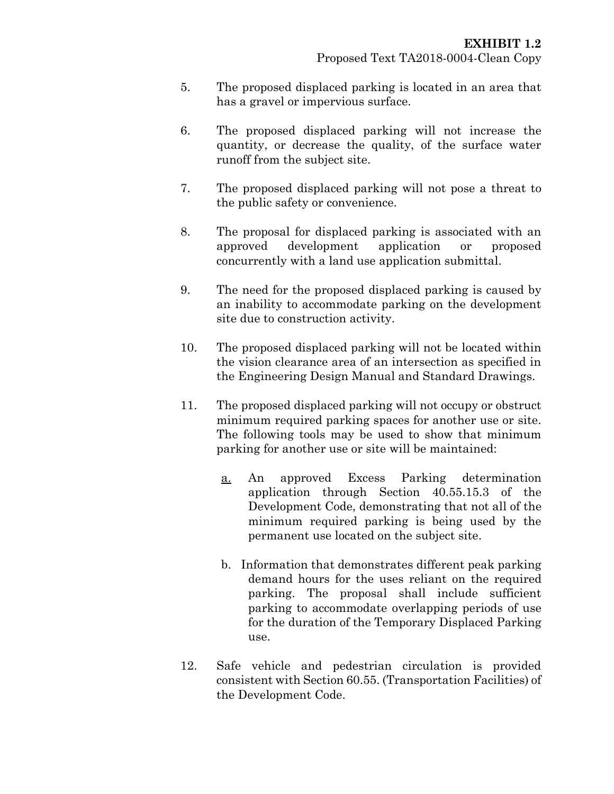- 5. The proposed displaced parking is located in an area that has a gravel or impervious surface.
- 6. The proposed displaced parking will not increase the quantity, or decrease the quality, of the surface water runoff from the subject site.
- 7. The proposed displaced parking will not pose a threat to the public safety or convenience.
- 8. The proposal for displaced parking is associated with an approved development application or proposed concurrently with a land use application submittal.
- 9. The need for the proposed displaced parking is caused by an inability to accommodate parking on the development site due to construction activity.
- 10. The proposed displaced parking will not be located within the vision clearance area of an intersection as specified in the Engineering Design Manual and Standard Drawings.
- 11. The proposed displaced parking will not occupy or obstruct minimum required parking spaces for another use or site. The following tools may be used to show that minimum parking for another use or site will be maintained:
	- a. An approved Excess Parking determination application through Section 40.55.15.3 of the Development Code, demonstrating that not all of the minimum required parking is being used by the permanent use located on the subject site.
	- b. Information that demonstrates different peak parking demand hours for the uses reliant on the required parking. The proposal shall include sufficient parking to accommodate overlapping periods of use for the duration of the Temporary Displaced Parking use.
- 12. Safe vehicle and pedestrian circulation is provided consistent with Section 60.55. (Transportation Facilities) of the Development Code.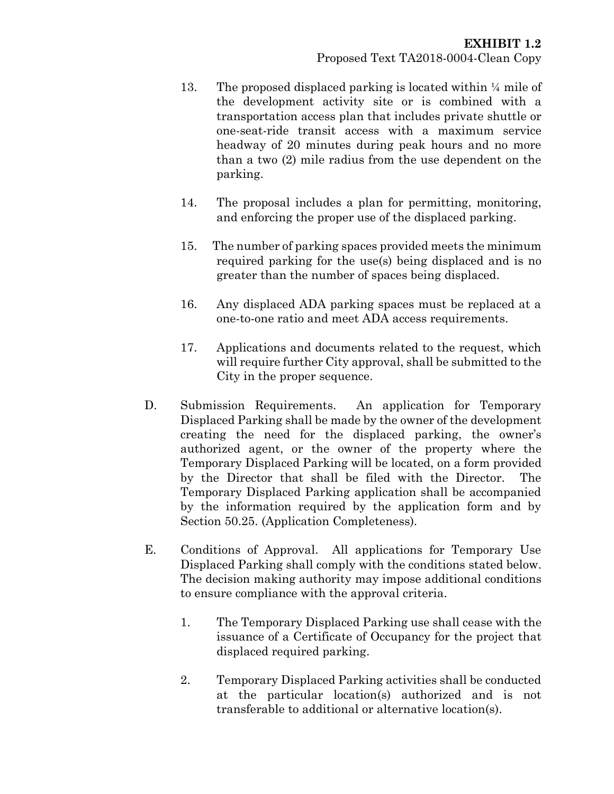- 13. The proposed displaced parking is located within  $\frac{1}{4}$  mile of the development activity site or is combined with a transportation access plan that includes private shuttle or one-seat-ride transit access with a maximum service headway of 20 minutes during peak hours and no more than a two (2) mile radius from the use dependent on the parking.
- 14. The proposal includes a plan for permitting, monitoring, and enforcing the proper use of the displaced parking.
- 15. The number of parking spaces provided meets the minimum required parking for the use(s) being displaced and is no greater than the number of spaces being displaced.
- 16. Any displaced ADA parking spaces must be replaced at a one-to-one ratio and meet ADA access requirements.
- 17. Applications and documents related to the request, which will require further City approval, shall be submitted to the City in the proper sequence.
- D. Submission Requirements. An application for Temporary Displaced Parking shall be made by the owner of the development creating the need for the displaced parking, the owner's authorized agent, or the owner of the property where the Temporary Displaced Parking will be located, on a form provided by the Director that shall be filed with the Director. The Temporary Displaced Parking application shall be accompanied by the information required by the application form and by Section 50.25. (Application Completeness).
- E. Conditions of Approval. All applications for Temporary Use Displaced Parking shall comply with the conditions stated below. The decision making authority may impose additional conditions to ensure compliance with the approval criteria.
	- 1. The Temporary Displaced Parking use shall cease with the issuance of a Certificate of Occupancy for the project that displaced required parking.
	- 2. Temporary Displaced Parking activities shall be conducted at the particular location(s) authorized and is not transferable to additional or alternative location(s).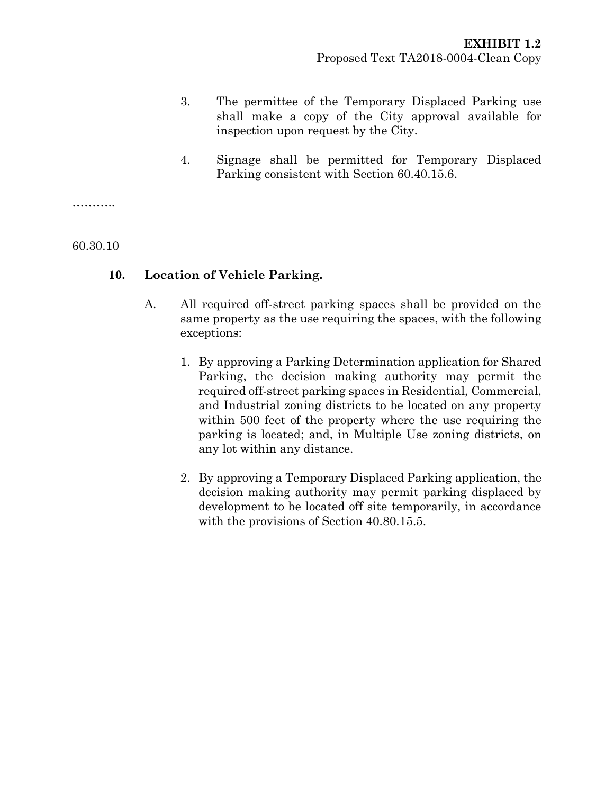- 3. The permittee of the Temporary Displaced Parking use shall make a copy of the City approval available for inspection upon request by the City.
- 4. Signage shall be permitted for Temporary Displaced Parking consistent with Section 60.40.15.6.

. . . . . . . . . .

60.30.10

#### **10. Location of Vehicle Parking.**

- A. All required off-street parking spaces shall be provided on the same property as the use requiring the spaces, with the following exceptions:
	- 1. By approving a Parking Determination application for Shared Parking, the decision making authority may permit the required off-street parking spaces in Residential, Commercial, and Industrial zoning districts to be located on any property within 500 feet of the property where the use requiring the parking is located; and, in Multiple Use zoning districts, on any lot within any distance.
	- 2. By approving a Temporary Displaced Parking application, the decision making authority may permit parking displaced by development to be located off site temporarily, in accordance with the provisions of Section 40.80.15.5.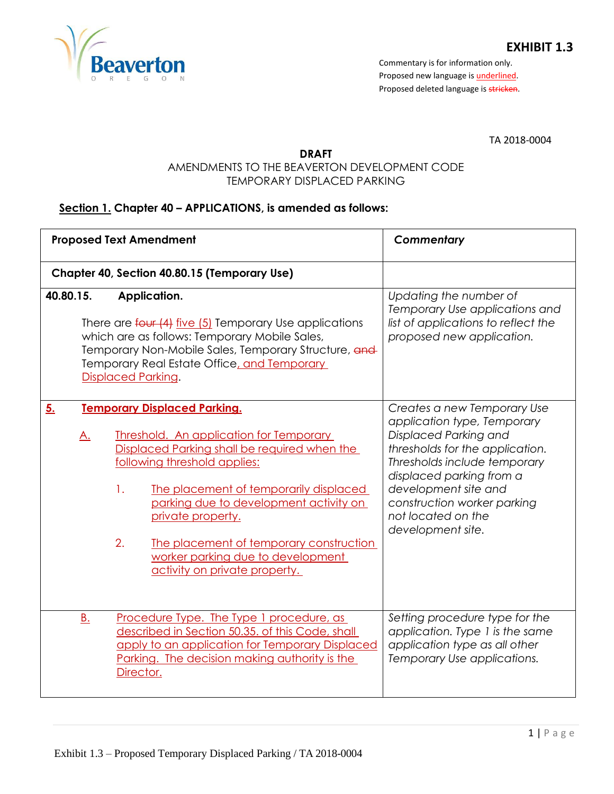

TA 2018-0004

#### **DRAFT**

# AMENDMENTS TO THE BEAVERTON DEVELOPMENT CODE TEMPORARY DISPLACED PARKING

# **Section 1. Chapter 40 – APPLICATIONS, is amended as follows:**

|                 | <b>Proposed Text Amendment</b>                                                                                                                                                                                                                                                                                                                                                                              | Commentary                                                                                                                                                                                                                                                                           |
|-----------------|-------------------------------------------------------------------------------------------------------------------------------------------------------------------------------------------------------------------------------------------------------------------------------------------------------------------------------------------------------------------------------------------------------------|--------------------------------------------------------------------------------------------------------------------------------------------------------------------------------------------------------------------------------------------------------------------------------------|
|                 | Chapter 40, Section 40.80.15 (Temporary Use)                                                                                                                                                                                                                                                                                                                                                                |                                                                                                                                                                                                                                                                                      |
| 40.80.15.       | Application.<br>There are four (4) five (5) Temporary Use applications<br>which are as follows: Temporary Mobile Sales,<br>Temporary Non-Mobile Sales, Temporary Structure, and<br>Temporary Real Estate Office, and Temporary<br><b>Displaced Parking.</b>                                                                                                                                                 | Updating the number of<br>Temporary Use applications and<br>list of applications to reflect the<br>proposed new application.                                                                                                                                                         |
| 5.<br><u>A.</u> | <b>Temporary Displaced Parking.</b><br><b>Threshold. An application for Temporary</b><br>Displaced Parking shall be required when the<br>following threshold applies:<br>The placement of temporarily displaced<br>1.<br>parking due to development activity on<br>private property.<br>2.<br>The placement of temporary construction<br>worker parking due to development<br>activity on private property. | Creates a new Temporary Use<br>application type, Temporary<br>Displaced Parking and<br>thresholds for the application.<br>Thresholds include temporary<br>displaced parking from a<br>development site and<br>construction worker parking<br>not located on the<br>development site. |
| <u>B.</u>       | Procedure Type. The Type 1 procedure, as<br>described in Section 50.35. of this Code, shall<br>apply to an application for Temporary Displaced<br>Parking. The decision making authority is the<br>Director.                                                                                                                                                                                                | Setting procedure type for the<br>application. Type 1 is the same<br>application type as all other<br>Temporary Use applications.                                                                                                                                                    |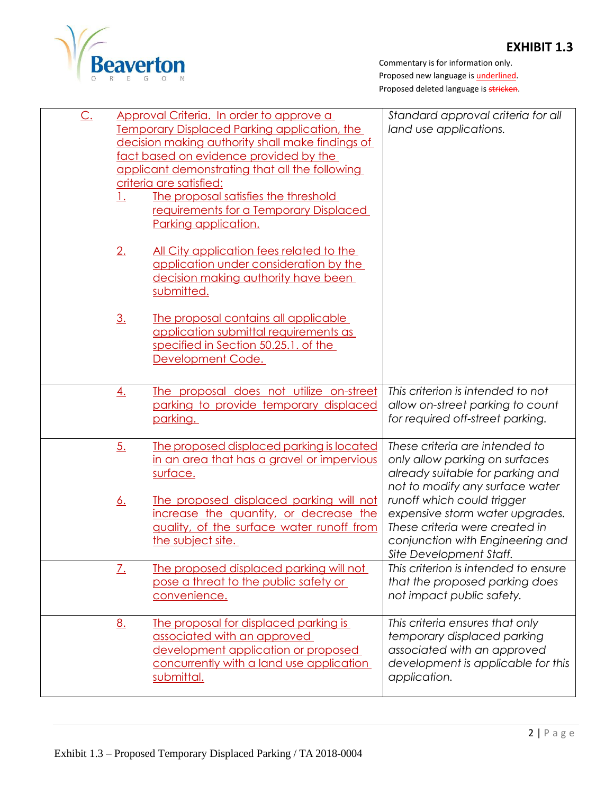# **EXHIBIT 1.3**



| <u>C.</u> | Approval Criteria. In order to approve a<br><b>Temporary Displaced Parking application, the</b><br>decision making authority shall make findings of<br>fact based on evidence provided by the<br>applicant demonstrating that all the following<br>criteria are satisfied:<br>The proposal satisfies the threshold<br><u>1.</u><br>requirements for a Temporary Displaced<br>Parking application. |                                                                                                                                                                       | Standard approval criteria for all<br>land use applications.                                                                                                   |
|-----------|---------------------------------------------------------------------------------------------------------------------------------------------------------------------------------------------------------------------------------------------------------------------------------------------------------------------------------------------------------------------------------------------------|-----------------------------------------------------------------------------------------------------------------------------------------------------------------------|----------------------------------------------------------------------------------------------------------------------------------------------------------------|
|           | 2.                                                                                                                                                                                                                                                                                                                                                                                                | All City application fees related to the<br>application under consideration by the<br>decision making authority have been<br>submitted.                               |                                                                                                                                                                |
|           | <u>3.</u>                                                                                                                                                                                                                                                                                                                                                                                         | The proposal contains all applicable<br>application submittal requirements as<br>specified in Section 50.25.1. of the<br>Development Code.                            |                                                                                                                                                                |
|           | <u>4.</u>                                                                                                                                                                                                                                                                                                                                                                                         | The proposal does not utilize on-street<br>parking to provide temporary displaced<br>parking.                                                                         | This criterion is intended to not<br>allow on-street parking to count<br>for required off-street parking.                                                      |
|           | 5.                                                                                                                                                                                                                                                                                                                                                                                                | The proposed displaced parking is located<br>in an area that has a gravel or impervious<br>surface.                                                                   | These criteria are intended to<br>only allow parking on surfaces<br>already suitable for parking and<br>not to modify any surface water                        |
|           | <u>6.</u>                                                                                                                                                                                                                                                                                                                                                                                         | The proposed displaced parking will not<br>increase the quantity, or decrease the<br>quality, of the surface water runoff from<br>the subject site.                   | runoff which could trigger<br>expensive storm water upgrades.<br>These criteria were created in<br>conjunction with Engineering and<br>Site Development Staff. |
|           | <u>Z.</u>                                                                                                                                                                                                                                                                                                                                                                                         | The proposed displaced parking will not<br>pose a threat to the public safety or<br>convenience.                                                                      | This criterion is intended to ensure<br>that the proposed parking does<br>not impact public safety.                                                            |
|           | <u>8.</u>                                                                                                                                                                                                                                                                                                                                                                                         | The proposal for displaced parking is<br>associated with an approved<br>development application or proposed<br>concurrently with a land use application<br>submittal. | This criteria ensures that only<br>temporary displaced parking<br>associated with an approved<br>development is applicable for this<br>application.            |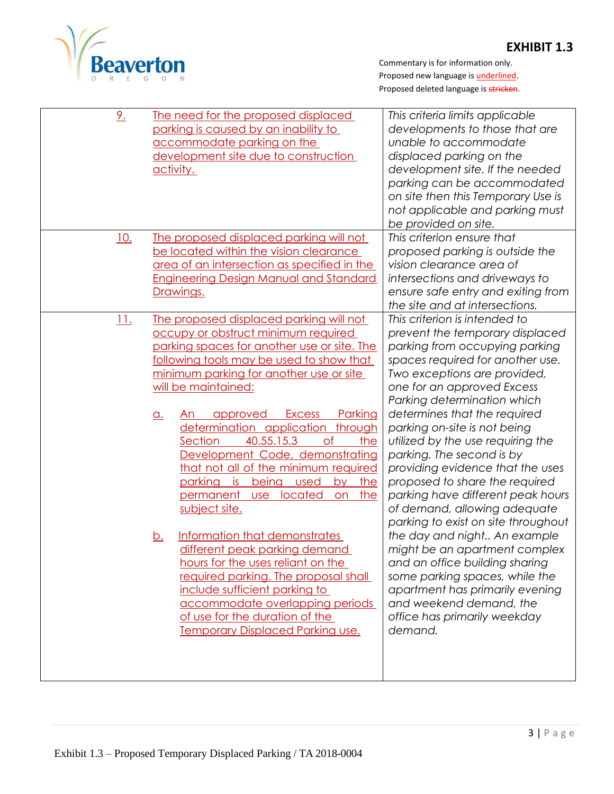

| 2.         | <u>The need for the proposed displaced</u><br>parking is caused by an inability to<br>accommodate parking on the<br>development site due to construction<br>activity.                                                                                                                                                                                                                                                                                                                                                                                                                                                                                                                                                                                                                                                                                                                     | This criteria limits applicable<br>developments to those that are<br>unable to accommodate<br>displaced parking on the<br>development site. If the needed<br>parking can be accommodated<br>on site then this Temporary Use is<br>not applicable and parking must<br>be provided on site.                                                                                                                                                                                                                                                                                                                                                                                                                                                                                                             |
|------------|-------------------------------------------------------------------------------------------------------------------------------------------------------------------------------------------------------------------------------------------------------------------------------------------------------------------------------------------------------------------------------------------------------------------------------------------------------------------------------------------------------------------------------------------------------------------------------------------------------------------------------------------------------------------------------------------------------------------------------------------------------------------------------------------------------------------------------------------------------------------------------------------|-------------------------------------------------------------------------------------------------------------------------------------------------------------------------------------------------------------------------------------------------------------------------------------------------------------------------------------------------------------------------------------------------------------------------------------------------------------------------------------------------------------------------------------------------------------------------------------------------------------------------------------------------------------------------------------------------------------------------------------------------------------------------------------------------------|
| <u>10.</u> | The proposed displaced parking will not<br>be located within the vision clearance<br><u>area of an intersection as specified in the </u><br><b>Engineering Design Manual and Standard</b><br>Drawings.                                                                                                                                                                                                                                                                                                                                                                                                                                                                                                                                                                                                                                                                                    | This criterion ensure that<br>proposed parking is outside the<br>vision clearance area of<br>intersections and driveways to<br>ensure safe entry and exiting from<br>the site and at intersections.                                                                                                                                                                                                                                                                                                                                                                                                                                                                                                                                                                                                   |
| <u>11.</u> | The proposed displaced parking will not<br>occupy or obstruct minimum required<br>parking spaces for another use or site. The<br>following tools may be used to show that<br>minimum parking for another use or site<br>will be maintained:<br>Parking<br><b>Excess</b><br>approved<br><u>a.</u><br>An<br>determination application<br>through<br>of<br>40.55.15.3<br>the<br>Section<br>Development Code, demonstrating<br>that not all of the minimum required<br>the<br>parking<br><u>is</u><br>being<br>used<br>by<br>on the<br>permanent<br>use located<br>subject site.<br>Information that demonstrates<br><u>b.</u><br>different peak parking demand<br>hours for the uses reliant on the<br>required parking. The proposal shall<br>include sufficient parking to<br>accommodate overlapping periods<br>of use for the duration of the<br><b>Temporary Displaced Parking use.</b> | This criterion is intended to<br>prevent the temporary displaced<br>parking from occupying parking<br>spaces required for another use.<br>Two exceptions are provided,<br>one for an approved Excess<br>Parking determination which<br>determines that the required<br>parking on-site is not being<br>utilized by the use requiring the<br>parking. The second is by<br>providing evidence that the uses<br>proposed to share the required<br>parking have different peak hours<br>of demand, allowing adequate<br>parking to exist on site throughout<br>the day and night An example<br>might be an apartment complex<br>and an office building sharing<br>some parking spaces, while the<br>apartment has primarily evening<br>and weekend demand, the<br>office has primarily weekday<br>demand. |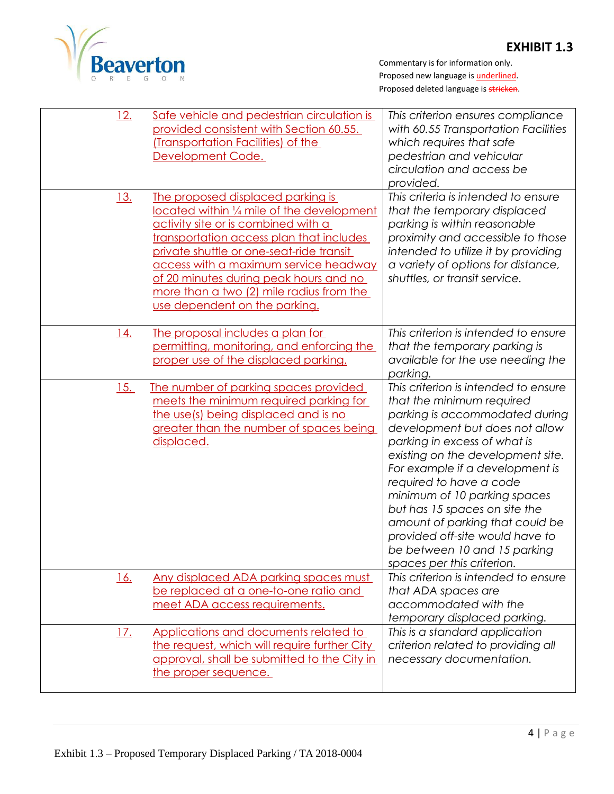

| <u>12.</u>  | <u>Safe vehicle and pedestrian circulation is</u><br>provided consistent with Section 60.55.<br>(Transportation Facilities) of the<br>Development Code.                                                                                                                                                                                                                        | This criterion ensures compliance<br>with 60.55 Transportation Facilities<br>which requires that safe<br>pedestrian and vehicular<br>circulation and access be<br>provided.                                                                                                                                                                                                                                                                                                   |
|-------------|--------------------------------------------------------------------------------------------------------------------------------------------------------------------------------------------------------------------------------------------------------------------------------------------------------------------------------------------------------------------------------|-------------------------------------------------------------------------------------------------------------------------------------------------------------------------------------------------------------------------------------------------------------------------------------------------------------------------------------------------------------------------------------------------------------------------------------------------------------------------------|
| <u>13.</u>  | The proposed displaced parking is<br>located within 1/4 mile of the development<br>activity site or is combined with a<br>transportation access plan that includes<br>private shuttle or one-seat-ride transit<br>access with a maximum service headway<br>of 20 minutes during peak hours and no<br>more than a two (2) mile radius from the<br>use dependent on the parking. | This criteria is intended to ensure<br>that the temporary displaced<br>parking is within reasonable<br>proximity and accessible to those<br>intended to utilize it by providing<br>a variety of options for distance,<br>shuttles, or transit service.                                                                                                                                                                                                                        |
| <u>14.</u>  | The proposal includes a plan for<br>permitting, monitoring, and enforcing the<br>proper use of the displaced parking.                                                                                                                                                                                                                                                          | This criterion is intended to ensure<br>that the temporary parking is<br>available for the use needing the<br>parking.                                                                                                                                                                                                                                                                                                                                                        |
| 15.         | The number of parking spaces provided<br>meets the minimum required parking for<br>the use(s) being displaced and is no<br>greater than the number of spaces being<br>displaced.                                                                                                                                                                                               | This criterion is intended to ensure<br>that the minimum required<br>parking is accommodated during<br>development but does not allow<br>parking in excess of what is<br>existing on the development site.<br>For example if a development is<br>required to have a code<br>minimum of 10 parking spaces<br>but has 15 spaces on site the<br>amount of parking that could be<br>provided off-site would have to<br>be between 10 and 15 parking<br>spaces per this criterion. |
| <u> 16.</u> | Any displaced ADA parking spaces must<br>be replaced at a one-to-one ratio and<br>meet ADA access requirements.                                                                                                                                                                                                                                                                | This criterion is intended to ensure<br>that ADA spaces are<br>accommodated with the<br>temporary displaced parking.                                                                                                                                                                                                                                                                                                                                                          |
| <u>17.</u>  | Applications and documents related to<br>the request, which will require further City<br>approval, shall be submitted to the City in<br>the proper sequence.                                                                                                                                                                                                                   | This is a standard application<br>criterion related to providing all<br>necessary documentation.                                                                                                                                                                                                                                                                                                                                                                              |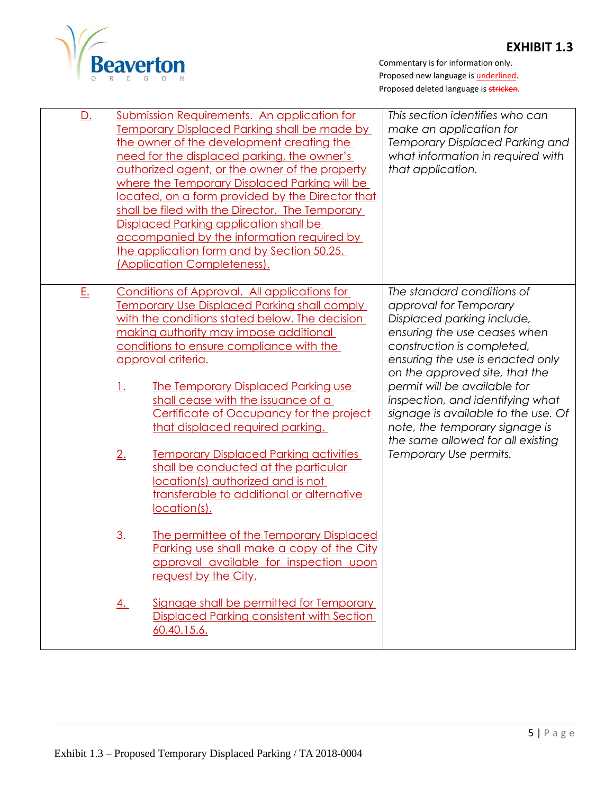

| <u>D.</u> |                                                                                                                                                                                                                                                                                                                                                                    | Submission Requirements. An application for<br><b>Temporary Displaced Parking shall be made by</b><br>the owner of the development creating the<br>need for the displaced parking, the owner's<br>authorized agent, or the owner of the property<br>where the Temporary Displaced Parking will be<br>located, on a form provided by the Director that<br>shall be filed with the Director. The Temporary<br>Displaced Parking application shall be<br>accompanied by the information required by<br>the application form and by Section 50.25.<br>(Application Completeness). | This section identifies who can<br>make an application for<br>Temporary Displaced Parking and<br>what information in required with<br>that application.                                                                                                                                    |
|-----------|--------------------------------------------------------------------------------------------------------------------------------------------------------------------------------------------------------------------------------------------------------------------------------------------------------------------------------------------------------------------|-------------------------------------------------------------------------------------------------------------------------------------------------------------------------------------------------------------------------------------------------------------------------------------------------------------------------------------------------------------------------------------------------------------------------------------------------------------------------------------------------------------------------------------------------------------------------------|--------------------------------------------------------------------------------------------------------------------------------------------------------------------------------------------------------------------------------------------------------------------------------------------|
| E.        | Conditions of Approval. All applications for<br><b>Temporary Use Displaced Parking shall comply</b><br>with the conditions stated below. The decision<br>making authority may impose additional<br>conditions to ensure compliance with the<br>approval criteria.<br><u>1.</u><br><b>The Temporary Displaced Parking use</b><br>shall cease with the issuance of a |                                                                                                                                                                                                                                                                                                                                                                                                                                                                                                                                                                               | The standard conditions of<br>approval for Temporary<br>Displaced parking include,<br>ensuring the use ceases when<br>construction is completed,<br>ensuring the use is enacted only<br>on the approved site, that the<br>permit will be available for<br>inspection, and identifying what |
|           | 2.                                                                                                                                                                                                                                                                                                                                                                 | Certificate of Occupancy for the project<br>that displaced required parking.<br><b>Temporary Displaced Parking activities</b><br>shall be conducted at the particular<br>location(s) authorized and is not<br>transferable to additional or alternative<br>location(s).                                                                                                                                                                                                                                                                                                       | signage is available to the use. Of<br>note, the temporary signage is<br>the same allowed for all existing<br>Temporary Use permits.                                                                                                                                                       |
|           | 3.                                                                                                                                                                                                                                                                                                                                                                 | The permittee of the Temporary Displaced<br>Parking use shall make a copy of the City<br>approval available for inspection upon<br>request by the City.                                                                                                                                                                                                                                                                                                                                                                                                                       |                                                                                                                                                                                                                                                                                            |
|           | <u>4.</u>                                                                                                                                                                                                                                                                                                                                                          | Signage shall be permitted for Temporary<br><b>Displaced Parking consistent with Section</b><br>60.40.15.6.                                                                                                                                                                                                                                                                                                                                                                                                                                                                   |                                                                                                                                                                                                                                                                                            |